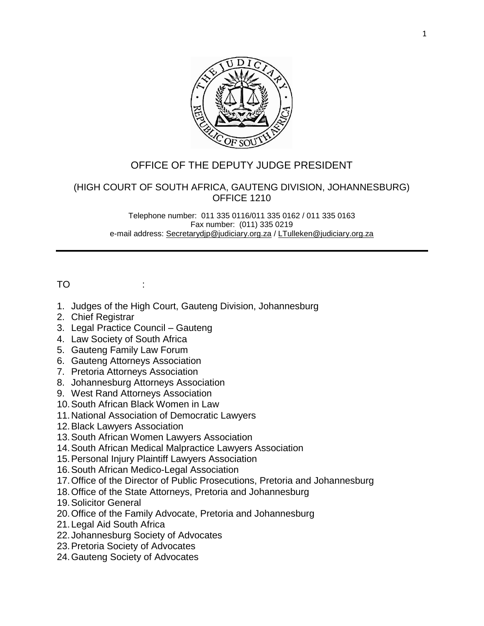

# OFFICE OF THE DEPUTY JUDGE PRESIDENT

#### (HIGH COURT OF SOUTH AFRICA, GAUTENG DIVISION, JOHANNESBURG) OFFICE 1210

Telephone number: 011 335 0116/011 335 0162 / 011 335 0163 Fax number: (011) 335 0219 e-mail address: Secretarydip@judiciary.org.za / [LTulleken@judiciary.org.za](mailto:LTulleken@judiciary.org.za)

### TO :

- 1. Judges of the High Court, Gauteng Division, Johannesburg
- 2. Chief Registrar
- 3. Legal Practice Council Gauteng
- 4. Law Society of South Africa
- 5. Gauteng Family Law Forum
- 6. Gauteng Attorneys Association
- 7. Pretoria Attorneys Association
- 8. Johannesburg Attorneys Association
- 9. West Rand Attorneys Association
- 10.South African Black Women in Law
- 11.National Association of Democratic Lawyers
- 12.Black Lawyers Association
- 13.South African Women Lawyers Association
- 14.South African Medical Malpractice Lawyers Association
- 15.Personal Injury Plaintiff Lawyers Association
- 16.South African Medico-Legal Association
- 17.Office of the Director of Public Prosecutions, Pretoria and Johannesburg
- 18.Office of the State Attorneys, Pretoria and Johannesburg
- 19.Solicitor General
- 20.Office of the Family Advocate, Pretoria and Johannesburg
- 21.Legal Aid South Africa
- 22.Johannesburg Society of Advocates
- 23.Pretoria Society of Advocates
- 24.Gauteng Society of Advocates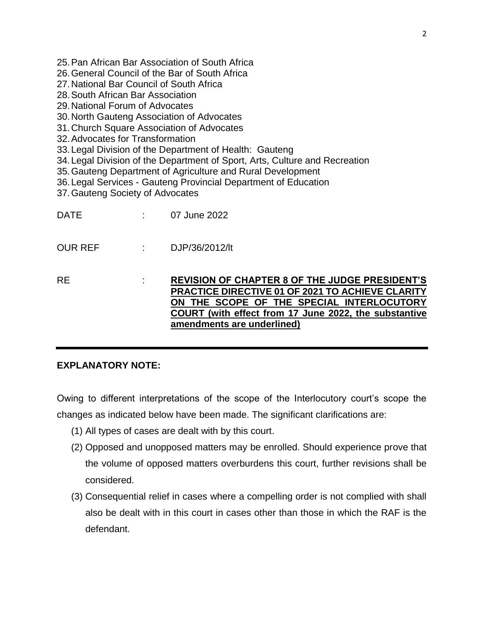| 26. General Council of the Bar of South Africa<br>27. National Bar Council of South Africa<br>28. South African Bar Association<br>29. National Forum of Advocates<br>30. North Gauteng Association of Advocates<br>31. Church Square Association of Advocates<br>32. Advocates for Transformation<br>37. Gauteng Society of Advocates |         | 25. Pan African Bar Association of South Africa<br>33. Legal Division of the Department of Health: Gauteng<br>34. Legal Division of the Department of Sport, Arts, Culture and Recreation<br>35. Gauteng Department of Agriculture and Rural Development<br>36. Legal Services - Gauteng Provincial Department of Education |
|----------------------------------------------------------------------------------------------------------------------------------------------------------------------------------------------------------------------------------------------------------------------------------------------------------------------------------------|---------|-----------------------------------------------------------------------------------------------------------------------------------------------------------------------------------------------------------------------------------------------------------------------------------------------------------------------------|
| DATE                                                                                                                                                                                                                                                                                                                                   |         | $\frac{1}{2}$ 07 June 2022                                                                                                                                                                                                                                                                                                  |
| OUR REF                                                                                                                                                                                                                                                                                                                                | diam'r. | DJP/36/2012/lt                                                                                                                                                                                                                                                                                                              |
| RE                                                                                                                                                                                                                                                                                                                                     |         | <b>REVISION OF CHAPTER 8 OF THE JUDGE PRESIDENT'S</b><br>PRACTICE DIRECTIVE 01 OF 2021 TO ACHIEVE CLARITY<br>ON THE SCOPE OF THE SPECIAL INTERLOCUTORY<br>COURT (with effect from 17 June 2022, the substantive<br>amendments are underlined)                                                                               |

### **EXPLANATORY NOTE:**

Owing to different interpretations of the scope of the Interlocutory court's scope the changes as indicated below have been made. The significant clarifications are:

- (1) All types of cases are dealt with by this court.
- (2) Opposed and unopposed matters may be enrolled. Should experience prove that the volume of opposed matters overburdens this court, further revisions shall be considered.
- (3) Consequential relief in cases where a compelling order is not complied with shall also be dealt with in this court in cases other than those in which the RAF is the defendant.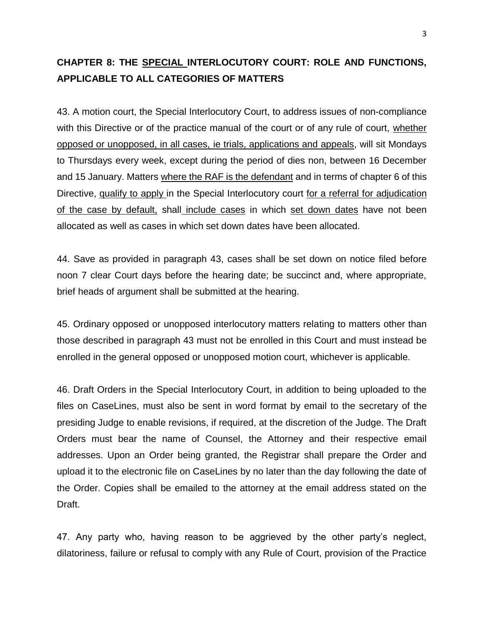# **CHAPTER 8: THE SPECIAL INTERLOCUTORY COURT: ROLE AND FUNCTIONS, APPLICABLE TO ALL CATEGORIES OF MATTERS**

43. A motion court, the Special Interlocutory Court, to address issues of non-compliance with this Directive or of the practice manual of the court or of any rule of court, whether opposed or unopposed, in all cases, ie trials, applications and appeals, will sit Mondays to Thursdays every week, except during the period of dies non, between 16 December and 15 January. Matters where the RAF is the defendant and in terms of chapter 6 of this Directive, qualify to apply in the Special Interlocutory court for a referral for adjudication of the case by default, shall include cases in which set down dates have not been allocated as well as cases in which set down dates have been allocated.

44. Save as provided in paragraph 43, cases shall be set down on notice filed before noon 7 clear Court days before the hearing date; be succinct and, where appropriate, brief heads of argument shall be submitted at the hearing.

45. Ordinary opposed or unopposed interlocutory matters relating to matters other than those described in paragraph 43 must not be enrolled in this Court and must instead be enrolled in the general opposed or unopposed motion court, whichever is applicable.

46. Draft Orders in the Special Interlocutory Court, in addition to being uploaded to the files on CaseLines, must also be sent in word format by email to the secretary of the presiding Judge to enable revisions, if required, at the discretion of the Judge. The Draft Orders must bear the name of Counsel, the Attorney and their respective email addresses. Upon an Order being granted, the Registrar shall prepare the Order and upload it to the electronic file on CaseLines by no later than the day following the date of the Order. Copies shall be emailed to the attorney at the email address stated on the Draft.

47. Any party who, having reason to be aggrieved by the other party's neglect, dilatoriness, failure or refusal to comply with any Rule of Court, provision of the Practice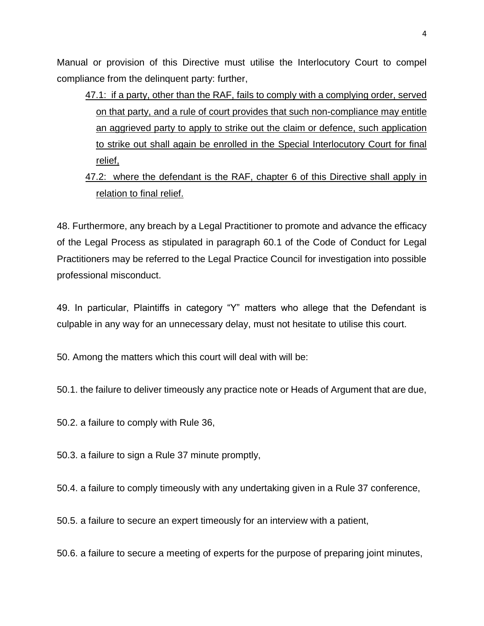Manual or provision of this Directive must utilise the Interlocutory Court to compel compliance from the delinquent party: further,

- 47.1: if a party, other than the RAF, fails to comply with a complying order, served on that party, and a rule of court provides that such non-compliance may entitle an aggrieved party to apply to strike out the claim or defence, such application to strike out shall again be enrolled in the Special Interlocutory Court for final relief,
- 47.2: where the defendant is the RAF, chapter 6 of this Directive shall apply in relation to final relief.

48. Furthermore, any breach by a Legal Practitioner to promote and advance the efficacy of the Legal Process as stipulated in paragraph 60.1 of the Code of Conduct for Legal Practitioners may be referred to the Legal Practice Council for investigation into possible professional misconduct.

49. In particular, Plaintiffs in category "Y" matters who allege that the Defendant is culpable in any way for an unnecessary delay, must not hesitate to utilise this court.

50. Among the matters which this court will deal with will be:

50.1. the failure to deliver timeously any practice note or Heads of Argument that are due,

50.2. a failure to comply with Rule 36,

50.3. a failure to sign a Rule 37 minute promptly,

50.4. a failure to comply timeously with any undertaking given in a Rule 37 conference,

50.5. a failure to secure an expert timeously for an interview with a patient,

50.6. a failure to secure a meeting of experts for the purpose of preparing joint minutes,